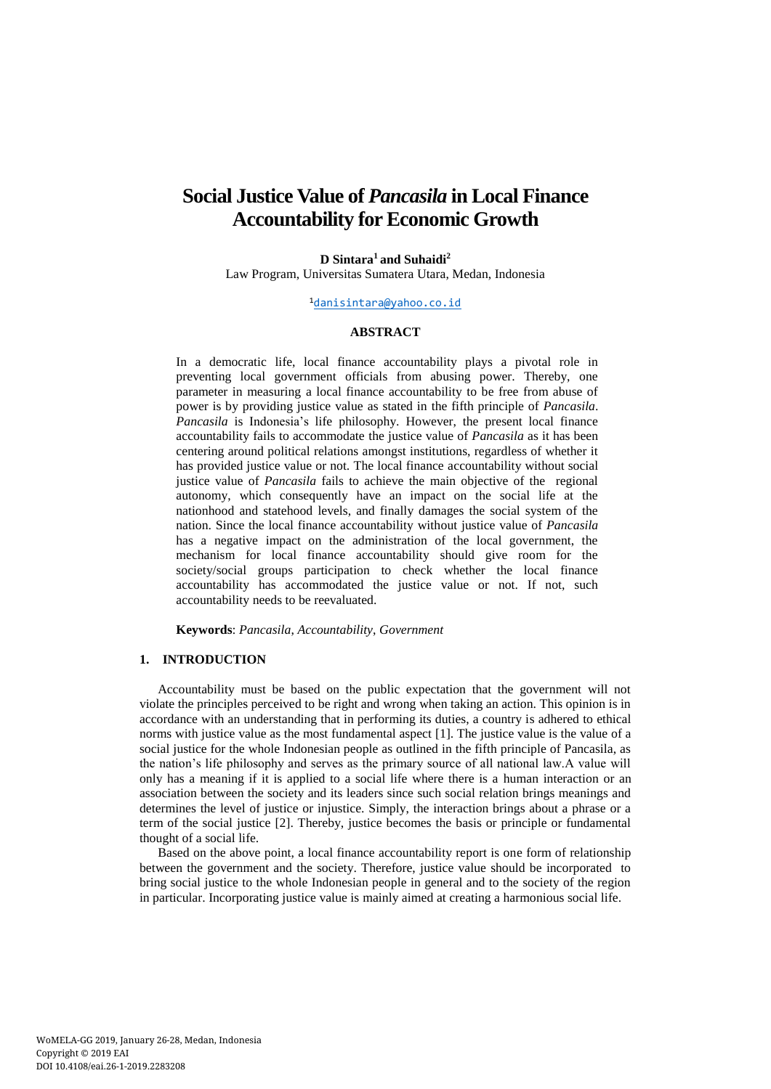# **Social Justice Value of** *Pancasila* **in Local Finance Accountability for Economic Growth**

**D Sintara<sup>1</sup>and Suhaidi<sup>2</sup>** Law Program, Universitas Sumatera Utara, Medan, Indonesia

#### <sup>1</sup>[danisintara@yahoo.co.id](mailto:danisintara@yahoo.co.id)

## **ABSTRACT**

In a democratic life, local finance accountability plays a pivotal role in preventing local government officials from abusing power. Thereby, one parameter in measuring a local finance accountability to be free from abuse of power is by providing justice value as stated in the fifth principle of *Pancasila*. *Pancasila* is Indonesia's life philosophy. However, the present local finance accountability fails to accommodate the justice value of *Pancasila* as it has been centering around political relations amongst institutions, regardless of whether it has provided justice value or not. The local finance accountability without social justice value of *Pancasila* fails to achieve the main objective of the regional autonomy, which consequently have an impact on the social life at the nationhood and statehood levels, and finally damages the social system of the nation. Since the local finance accountability without justice value of *Pancasila* has a negative impact on the administration of the local government, the mechanism for local finance accountability should give room for the society/social groups participation to check whether the local finance accountability has accommodated the justice value or not. If not, such accountability needs to be reevaluated.

**Keywords**: *Pancasila*, *Accountability*, *Government*

## **1. INTRODUCTION**

Accountability must be based on the public expectation that the government will not violate the principles perceived to be right and wrong when taking an action. This opinion is in accordance with an understanding that in performing its duties, a country is adhered to ethical norms with justice value as the most fundamental aspect [1]. The justice value is the value of a social justice for the whole Indonesian people as outlined in the fifth principle of Pancasila, as the nation's life philosophy and serves as the primary source of all national law.A value will only has a meaning if it is applied to a social life where there is a human interaction or an association between the society and its leaders since such social relation brings meanings and determines the level of justice or injustice. Simply, the interaction brings about a phrase or a term of the social justice [2]. Thereby, justice becomes the basis or principle or fundamental thought of a social life.

Based on the above point, a local finance accountability report is one form of relationship between the government and the society. Therefore, justice value should be incorporated to bring social justice to the whole Indonesian people in general and to the society of the region in particular. Incorporating justice value is mainly aimed at creating a harmonious social life.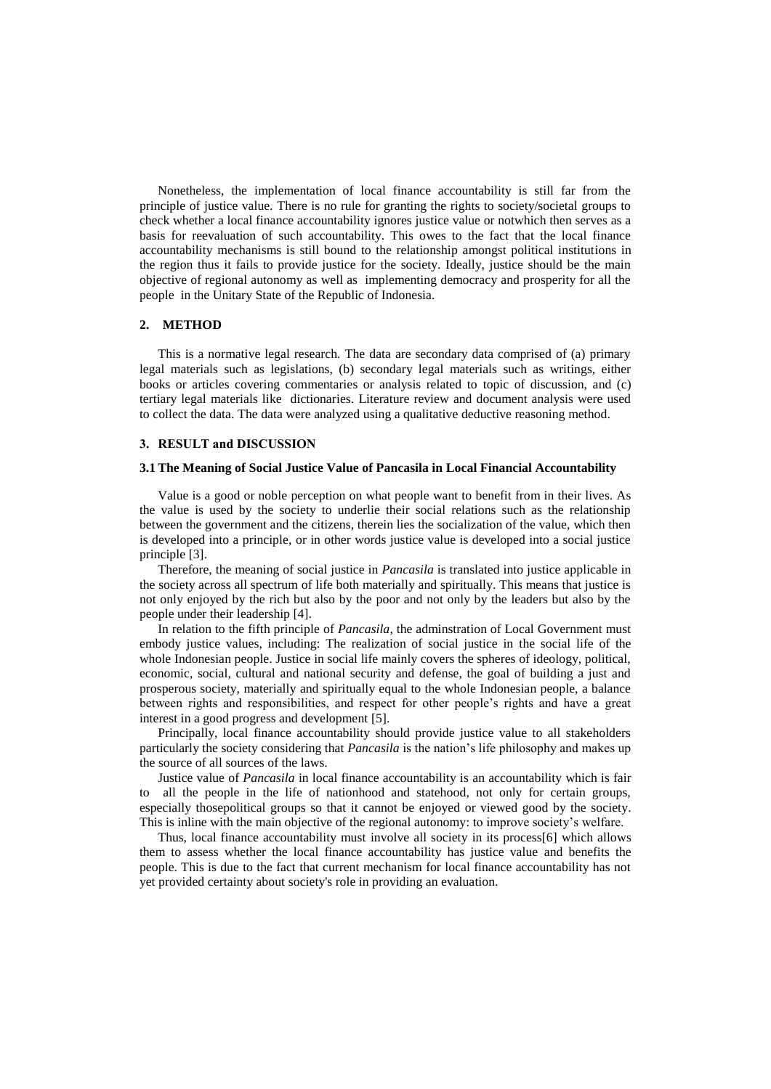Nonetheless, the implementation of local finance accountability is still far from the principle of justice value. There is no rule for granting the rights to society/societal groups to check whether a local finance accountability ignores justice value or notwhich then serves as a basis for reevaluation of such accountability. This owes to the fact that the local finance accountability mechanisms is still bound to the relationship amongst political institutions in the region thus it fails to provide justice for the society. Ideally, justice should be the main objective of regional autonomy as well as implementing democracy and prosperity for all the people in the Unitary State of the Republic of Indonesia.

#### **2. METHOD**

This is a normative legal research. The data are secondary data comprised of (a) primary legal materials such as legislations, (b) secondary legal materials such as writings, either books or articles covering commentaries or analysis related to topic of discussion, and (c) tertiary legal materials like dictionaries. Literature review and document analysis were used to collect the data. The data were analyzed using a qualitative deductive reasoning method.

#### **3. RESULT and DISCUSSION**

#### **3.1The Meaning of Social Justice Value of Pancasila in Local Financial Accountability**

Value is a good or noble perception on what people want to benefit from in their lives. As the value is used by the society to underlie their social relations such as the relationship between the government and the citizens, therein lies the socialization of the value, which then is developed into a principle, or in other words justice value is developed into a social justice principle [3].

Therefore, the meaning of social justice in *Pancasila* is translated into justice applicable in the society across all spectrum of life both materially and spiritually. This means that justice is not only enjoyed by the rich but also by the poor and not only by the leaders but also by the people under their leadership [4].

In relation to the fifth principle of *Pancasila*, the adminstration of Local Government must embody justice values, including: The realization of social justice in the social life of the whole Indonesian people. Justice in social life mainly covers the spheres of ideology, political, economic, social, cultural and national security and defense, the goal of building a just and prosperous society, materially and spiritually equal to the whole Indonesian people, a balance between rights and responsibilities, and respect for other people's rights and have a great interest in a good progress and development [5].

Principally, local finance accountability should provide justice value to all stakeholders particularly the society considering that *Pancasila* is the nation's life philosophy and makes up the source of all sources of the laws.

Justice value of *Pancasila* in local finance accountability is an accountability which is fair to all the people in the life of nationhood and statehood, not only for certain groups, especially thosepolitical groups so that it cannot be enjoyed or viewed good by the society. This is inline with the main objective of the regional autonomy: to improve society's welfare.

Thus, local finance accountability must involve all society in its process[6] which allows them to assess whether the local finance accountability has justice value and benefits the people. This is due to the fact that current mechanism for local finance accountability has not yet provided certainty about society's role in providing an evaluation.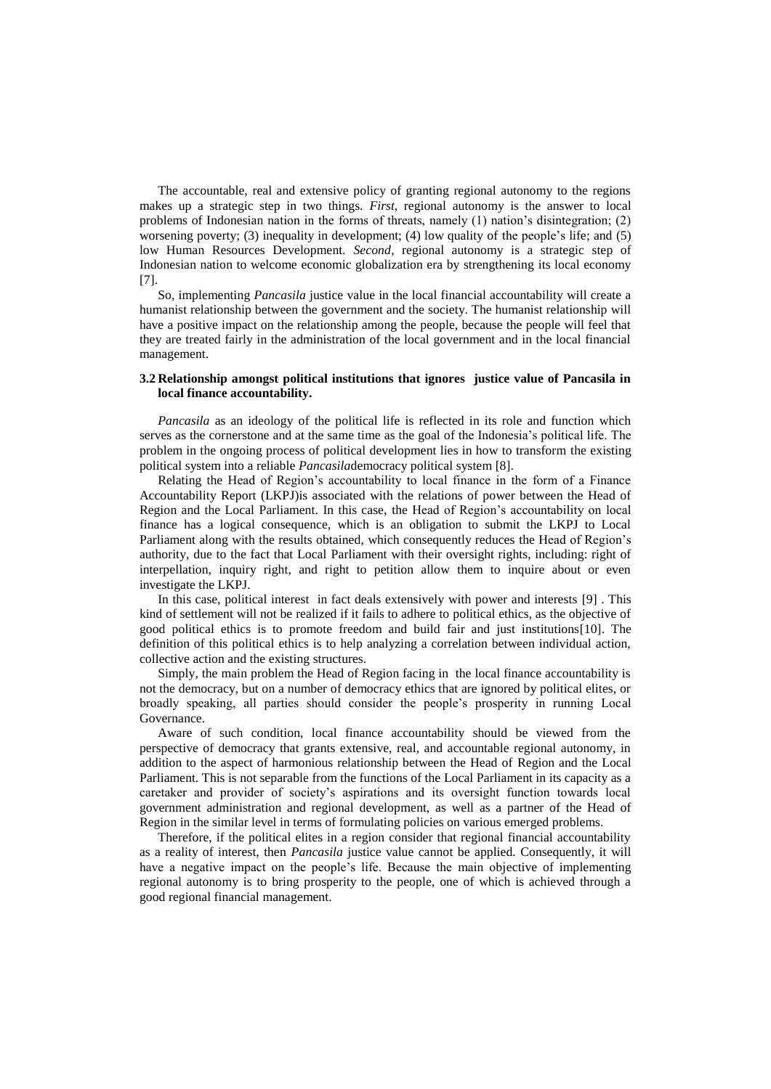The accountable, real and extensive policy of granting regional autonomy to the regions makes up a strategic step in two things. *First*, regional autonomy is the answer to local problems of Indonesian nation in the forms of threats, namely (1) nation's disintegration; (2) worsening poverty; (3) inequality in development; (4) low quality of the people's life; and (5) low Human Resources Development. *Second*, regional autonomy is a strategic step of Indonesian nation to welcome economic globalization era by strengthening its local economy [7].

So, implementing *Pancasila* justice value in the local financial accountability will create a humanist relationship between the government and the society. The humanist relationship will have a positive impact on the relationship among the people, because the people will feel that they are treated fairly in the administration of the local government and in the local financial management.

### **3.2 Relationship amongst political institutions that ignores justice value of Pancasila in local finance accountability.**

*Pancasila* as an ideology of the political life is reflected in its role and function which serves as the cornerstone and at the same time as the goal of the Indonesia's political life. The problem in the ongoing process of political development lies in how to transform the existing political system into a reliable *Pancasila*democracy political system [8].

Relating the Head of Region's accountability to local finance in the form of a Finance Accountability Report (LKPJ)is associated with the relations of power between the Head of Region and the Local Parliament. In this case, the Head of Region's accountability on local finance has a logical consequence, which is an obligation to submit the LKPJ to Local Parliament along with the results obtained, which consequently reduces the Head of Region's authority, due to the fact that Local Parliament with their oversight rights, including: right of interpellation, inquiry right, and right to petition allow them to inquire about or even investigate the LKPJ.

In this case, political interest in fact deals extensively with power and interests [9] . This kind of settlement will not be realized if it fails to adhere to political ethics, as the objective of good political ethics is to promote freedom and build fair and just institutions[10]. The definition of this political ethics is to help analyzing a correlation between individual action, collective action and the existing structures.

Simply, the main problem the Head of Region facing in the local finance accountability is not the democracy, but on a number of democracy ethics that are ignored by political elites, or broadly speaking, all parties should consider the people's prosperity in running Local Governance.

Aware of such condition, local finance accountability should be viewed from the perspective of democracy that grants extensive, real, and accountable regional autonomy, in addition to the aspect of harmonious relationship between the Head of Region and the Local Parliament. This is not separable from the functions of the Local Parliament in its capacity as a caretaker and provider of society's aspirations and its oversight function towards local government administration and regional development, as well as a partner of the Head of Region in the similar level in terms of formulating policies on various emerged problems.

Therefore, if the political elites in a region consider that regional financial accountability as a reality of interest, then *Pancasila* justice value cannot be applied. Consequently, it will have a negative impact on the people's life. Because the main objective of implementing regional autonomy is to bring prosperity to the people, one of which is achieved through a good regional financial management.